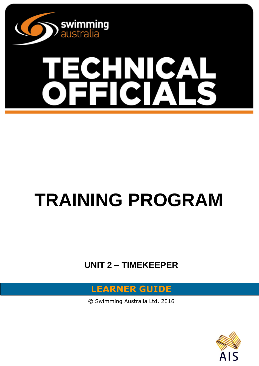

# C A **SH** NL

# **TRAINING PROGRAM**

# **UNIT 2 – TIMEKEEPER**



© Swimming Australia Ltd. 2016

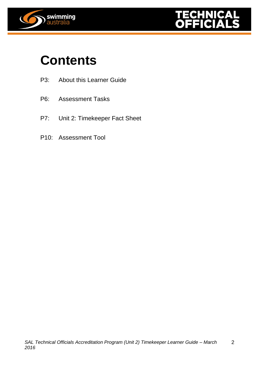



# **Contents**

- P3: About this Learner Guide
- P6: Assessment Tasks
- P7: Unit 2: Timekeeper Fact Sheet
- P10: Assessment Tool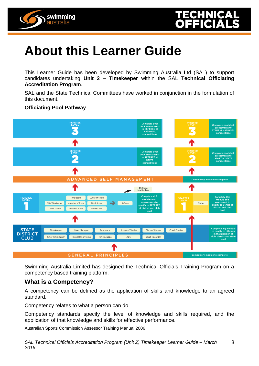



# **About this Learner Guide**

This Learner Guide has been developed by Swimming Australia Ltd (SAL) to support candidates undertaking **Unit 2 – Timekeeper** within the SAL **Technical Officiating Accreditation Program**.

SAL and the State Technical Committees have worked in conjunction in the formulation of this document.

### **Officiating Pool Pathway**



Swimming Australia Limited has designed the Technical Officials Training Program on a competency based training platform.

# **What is a Competency?**

A competency can be defined as the application of skills and knowledge to an agreed standard.

Competency relates to what a person can do.

Competency standards specify the level of knowledge and skills required, and the application of that knowledge and skills for effective performance.

Australian Sports Commission Assessor Training Manual 2006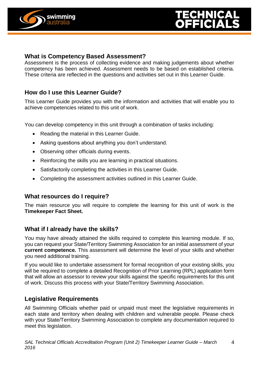

# **What is Competency Based Assessment?**

Assessment is the process of collecting evidence and making judgements about whether competency has been achieved. Assessment needs to be based on established criteria. These criteria are reflected in the questions and activities set out in this Learner Guide.

# **How do I use this Learner Guide?**

This Learner Guide provides you with the information and activities that will enable you to achieve competencies related to this unit of work.

You can develop competency in this unit through a combination of tasks including:

- Reading the material in this Learner Guide.
- Asking questions about anything you don't understand.
- Observing other officials during events.
- Reinforcing the skills you are learning in practical situations.
- Satisfactorily completing the activities in this Learner Guide.
- Completing the assessment activities outlined in this Learner Guide.

# **What resources do I require?**

The main resource you will require to complete the learning for this unit of work is the **Timekeeper Fact Sheet.**

# **What if I already have the skills?**

You may have already attained the skills required to complete this learning module. If so, you can request your State/Territory Swimming Association for an initial assessment of your **current competence.** This assessment will determine the level of your skills and whether you need additional training.

If you would like to undertake assessment for formal recognition of your existing skills, you will be required to complete a detailed Recognition of Prior Learning (RPL) application form that will allow an assessor to review your skills against the specific requirements for this unit of work. Discuss this process with your State/Territory Swimming Association.

# **Legislative Requirements**

All Swimming Officials whether paid or unpaid must meet the legislative requirements in each state and territory when dealing with children and vulnerable people. Please check with your State/Territory Swimming Association to complete any documentation required to meet this legislation.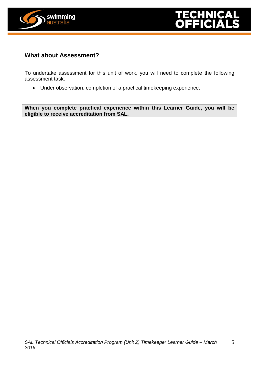

# **What about Assessment?**

To undertake assessment for this unit of work, you will need to complete the following assessment task:

Under observation, completion of a practical timekeeping experience.

**When you complete practical experience within this Learner Guide, you will be eligible to receive accreditation from SAL.**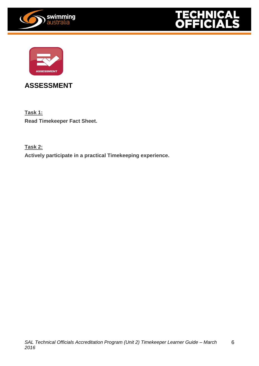





# **ASSESSMENT**

**Task 1: Read Timekeeper Fact Sheet.**

**Task 2:**

**Actively participate in a practical Timekeeping experience.**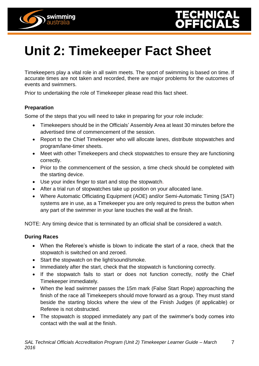



# **Unit 2: Timekeeper Fact Sheet**

Timekeepers play a vital role in all swim meets. The sport of swimming is based on time. If accurate times are not taken and recorded, there are major problems for the outcomes of events and swimmers.

Prior to undertaking the role of Timekeeper please read this fact sheet.

#### **Preparation**

Some of the steps that you will need to take in preparing for your role include:

- Timekeepers should be in the Officials' Assembly Area at least 30 minutes before the advertised time of commencement of the session.
- Report to the Chief Timekeeper who will allocate lanes, distribute stopwatches and program/lane-timer sheets.
- Meet with other Timekeepers and check stopwatches to ensure they are functioning correctly.
- Prior to the commencement of the session, a time check should be completed with the starting device.
- Use your index finger to start and stop the stopwatch.
- After a trial run of stopwatches take up position on your allocated lane.
- Where Automatic Officiating Equipment (AOE) and/or Semi-Automatic Timing (SAT) systems are in use, as a Timekeeper you are only required to press the button when any part of the swimmer in your lane touches the wall at the finish.

NOTE: Any timing device that is terminated by an official shall be considered a watch.

### **During Races**

- When the Referee's whistle is blown to indicate the start of a race, check that the stopwatch is switched on and zeroed.
- Start the stopwatch on the light/sound/smoke.
- Immediately after the start, check that the stopwatch is functioning correctly.
- If the stopwatch fails to start or does not function correctly, notify the Chief Timekeeper immediately.
- When the lead swimmer passes the 15m mark (False Start Rope) approaching the finish of the race all Timekeepers should move forward as a group. They must stand beside the starting blocks where the view of the Finish Judges (if applicable) or Referee is not obstructed.
- The stopwatch is stopped immediately any part of the swimmer's body comes into contact with the wall at the finish.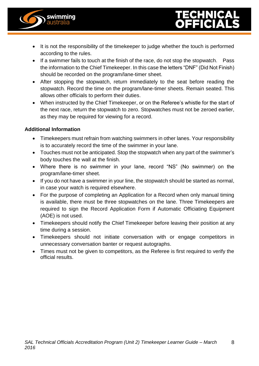

- It is not the responsibility of the timekeeper to judge whether the touch is performed according to the rules.
- If a swimmer fails to touch at the finish of the race, do not stop the stopwatch. Pass the information to the Chief Timekeeper. In this case the letters "DNF" (Did Not Finish) should be recorded on the program/lane-timer sheet.
- After stopping the stopwatch, return immediately to the seat before reading the stopwatch. Record the time on the program/lane-timer sheets. Remain seated. This allows other officials to perform their duties.
- When instructed by the Chief Timekeeper, or on the Referee's whistle for the start of the next race, return the stopwatch to zero. Stopwatches must not be zeroed earlier, as they may be required for viewing for a record.

# **Additional Information**

- Timekeepers must refrain from watching swimmers in other lanes. Your responsibility is to accurately record the time of the swimmer in your lane.
- Touches must not be anticipated. Stop the stopwatch when any part of the swimmer's body touches the wall at the finish.
- Where there is no swimmer in your lane, record "NS" (No swimmer) on the program/lane-timer sheet.
- If you do not have a swimmer in your line, the stopwatch should be started as normal, in case your watch is required elsewhere.
- For the purpose of completing an Application for a Record when only manual timing is available, there must be three stopwatches on the lane. Three Timekeepers are required to sign the Record Application Form if Automatic Officiating Equipment (AOE) is not used.
- Timekeepers should notify the Chief Timekeeper before leaving their position at any time during a session.
- Timekeepers should not initiate conversation with or engage competitors in unnecessary conversation banter or request autographs.
- Times must not be given to competitors, as the Referee is first required to verify the official results.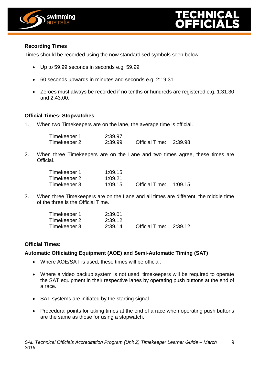



## **Recording Times**

Times should be recorded using the now standardised symbols seen below:

- Up to 59.99 seconds in seconds e.g. 59.99
- 60 seconds upwards in minutes and seconds e.g. 2:19.31
- Zeroes must always be recorded if no tenths or hundreds are registered e.g. 1:31.30 and 2:43.00.

### **Official Times: Stopwatches**

1. When two Timekeepers are on the lane, the average time is official.

| Timekeeper 1 | 2:39.97 |                       |         |
|--------------|---------|-----------------------|---------|
| Timekeeper 2 | 2:39.99 | <b>Official Time:</b> | 2:39.98 |

2. When three Timekeepers are on the Lane and two times agree, these times are Official.

| Timekeeper 1 | 1:09.15 |                       |         |
|--------------|---------|-----------------------|---------|
| Timekeeper 2 | 1:09.21 |                       |         |
| Timekeeper 3 | 1:09.15 | <b>Official Time:</b> | 1:09.15 |

3. When three Timekeepers are on the Lane and all times are different, the middle time of the three is the Official Time.

| Timekeeper 1 | 2:39.01 |                       |         |
|--------------|---------|-----------------------|---------|
| Timekeeper 2 | 2:39.12 |                       |         |
| Timekeeper 3 | 2:39.14 | <b>Official Time:</b> | 2:39.12 |

### **Official Times:**

### **Automatic Officiating Equipment (AOE) and Semi-Automatic Timing (SAT)**

- Where AOE/SAT is used, these times will be official.
- Where a video backup system is not used, timekeepers will be required to operate the SAT equipment in their respective lanes by operating push buttons at the end of a race.
- SAT systems are initiated by the starting signal.
- Procedural points for taking times at the end of a race when operating push buttons are the same as those for using a stopwatch.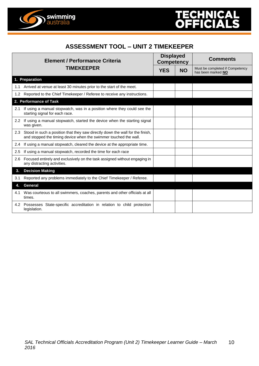

# **ASSESSMENT TOOL – UNIT 2 TIMEKEEPER**

| <b>Element / Performance Criteria</b><br><b>TIMEKEEPER</b> |                                                                                                                                                   | <b>Displayed</b><br><b>Competency</b> |           | <b>Comments</b>                                       |  |
|------------------------------------------------------------|---------------------------------------------------------------------------------------------------------------------------------------------------|---------------------------------------|-----------|-------------------------------------------------------|--|
|                                                            |                                                                                                                                                   | <b>YES</b>                            | <b>NO</b> | Must be completed if Competency<br>has been marked NO |  |
|                                                            | 1. Preparation                                                                                                                                    |                                       |           |                                                       |  |
| 1.1                                                        | Arrived at venue at least 30 minutes prior to the start of the meet.                                                                              |                                       |           |                                                       |  |
| $1.2^{\circ}$                                              | Reported to the Chief Timekeeper / Referee to receive any instructions.                                                                           |                                       |           |                                                       |  |
|                                                            | 2. Performance of Task                                                                                                                            |                                       |           |                                                       |  |
| 2.1                                                        | If using a manual stopwatch, was in a position where they could see the<br>starting signal for each race.                                         |                                       |           |                                                       |  |
| $2.2^{\circ}$                                              | If using a manual stopwatch, started the device when the starting signal<br>was given.                                                            |                                       |           |                                                       |  |
| 2.3                                                        | Stood in such a position that they saw directly down the wall for the finish,<br>and stopped the timing device when the swimmer touched the wall. |                                       |           |                                                       |  |
| 2.4                                                        | If using a manual stopwatch, cleared the device at the appropriate time.                                                                          |                                       |           |                                                       |  |
| 2.5                                                        | If using a manual stopwatch, recorded the time for each race                                                                                      |                                       |           |                                                       |  |
| 2.6                                                        | Focused entirely and exclusively on the task assigned without engaging in<br>any distracting activities.                                          |                                       |           |                                                       |  |
| 3.                                                         | <b>Decision Making</b>                                                                                                                            |                                       |           |                                                       |  |
| 3.1                                                        | Reported any problems immediately to the Chief Timekeeper / Referee.                                                                              |                                       |           |                                                       |  |
|                                                            | <b>General</b>                                                                                                                                    |                                       |           |                                                       |  |
| 4.1                                                        | Was courteous to all swimmers, coaches, parents and other officials at all<br>times.                                                              |                                       |           |                                                       |  |
|                                                            | 4.2 Possesses State-specific accreditation in relation to child protection<br>legislation.                                                        |                                       |           |                                                       |  |